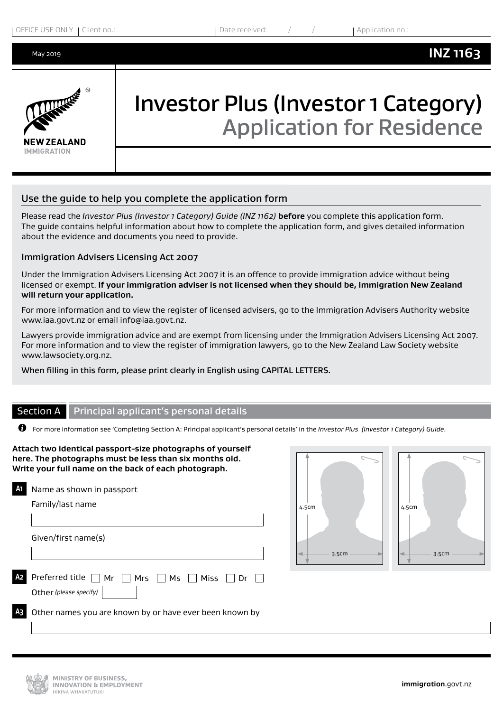

# Investor Plus (Investor 1 Category) Application for Residence

### Use the guide to help you complete the application form

Please read the *Investor Plus (Investor 1 Category) Guide (INZ 1162)* **before** you complete this application form. The guide contains helpful information about how to complete the application form, and gives detailed information about the evidence and documents you need to provide.

#### Immigration Advisers Licensing Act 2007

Under the Immigration Advisers Licensing Act 2007 it is an offence to provide immigration advice without being licensed or exempt. **If your immigration adviser is not licensed when they should be, Immigration New Zealand will return your application.**

For more information and to view the register of licensed advisers, go to the Immigration Advisers Authority website www.iaa.govt.nz or email info@iaa.govt.nz.

Lawyers provide immigration advice and are exempt from licensing under the Immigration Advisers Licensing Act 2007. For more information and to view the register of immigration lawyers, go to the New Zealand Law Society website www.lawsociety.org.nz.

When filling in this form, please print clearly in English using CAPITAL LETTERS.

#### Section A Principal applicant's personal details

For more information see 'Completing Section A: Principal applicant's personal details' in the *Investor Plus (Investor 1 Category) Guide*.

**Attach two identical passport-size photographs of yourself here. The photographs must be less than six months old. Write your full name on the back of each photograph. A1** Name as shown in passport Family/last name

Given/first name(s)

| $\Omega$ Preferred title $\Box$ Mr $\Box$ Mrs $\Box$ Ms $\Box$ Miss $\Box$ Dr $\Box$ |  |  |  |
|--------------------------------------------------------------------------------------|--|--|--|
| Other (please specify) $\vert$                                                       |  |  |  |



**A3** Other names you are known by or have ever been known by

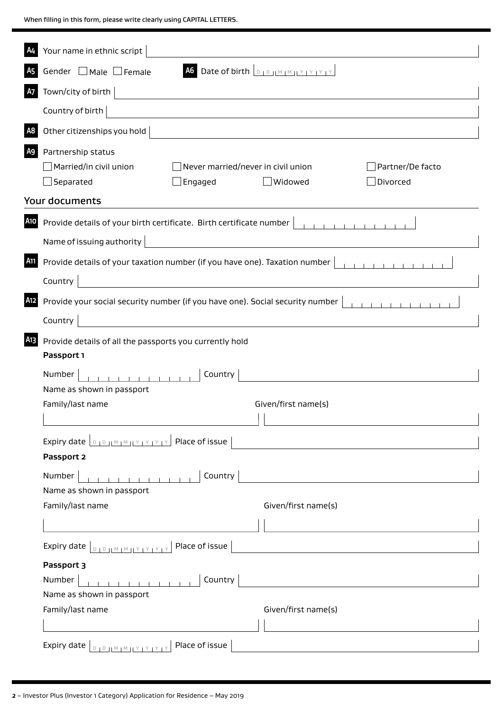When filling in this form, please write clearly using CAPITAL LETTERS.

|     | Your name in ethnic script                                                                                                                                                                                                                                        |  |  |  |  |  |  |  |
|-----|-------------------------------------------------------------------------------------------------------------------------------------------------------------------------------------------------------------------------------------------------------------------|--|--|--|--|--|--|--|
|     | A6 Date of birth $\boxed{D_1D_1M_1M_1Y_1Y_1Y_1Y_2}$<br>Gender $\Box$ Male $\Box$ Female                                                                                                                                                                           |  |  |  |  |  |  |  |
| А7  | Town/city of birth<br><u> 1989 - John Stein, Amerikaansk politiker (</u>                                                                                                                                                                                          |  |  |  |  |  |  |  |
|     | Country of birth                                                                                                                                                                                                                                                  |  |  |  |  |  |  |  |
| A8  | Other citizenships you hold                                                                                                                                                                                                                                       |  |  |  |  |  |  |  |
|     | A9 Partnership status                                                                                                                                                                                                                                             |  |  |  |  |  |  |  |
|     | Married/in civil union<br>$\Box$ Never married/never in civil union<br>Partner/De facto                                                                                                                                                                           |  |  |  |  |  |  |  |
|     | $\Box$ Separated<br>Divorced<br>$\Box$ Engaged<br>Widowed                                                                                                                                                                                                         |  |  |  |  |  |  |  |
|     | <b>Your documents</b>                                                                                                                                                                                                                                             |  |  |  |  |  |  |  |
| A10 | Provide details of your birth certificate. Birth certificate number<br>$-1$ , $-1$ , $-1$ , $-1$ , $-1$ , $-1$ , $-1$ , $-1$                                                                                                                                      |  |  |  |  |  |  |  |
|     | Name of issuing authority<br><u>and the state of the state of the state of the state of the state of the state of the state of the state of the state of the state of the state of the state of the state of the state of the state of the state of the state</u> |  |  |  |  |  |  |  |
| A11 | Provide details of your taxation number (if you have one). Taxation number<br><u> 1989 - Johann Barn, mars eta bainar eta idazlea (</u><br>Country                                                                                                                |  |  |  |  |  |  |  |
|     |                                                                                                                                                                                                                                                                   |  |  |  |  |  |  |  |
| A12 | Provide your social security number (if you have one). Social security number                                                                                                                                                                                     |  |  |  |  |  |  |  |
|     | Country                                                                                                                                                                                                                                                           |  |  |  |  |  |  |  |
| A13 | Provide details of all the passports you currently hold                                                                                                                                                                                                           |  |  |  |  |  |  |  |
|     | Passport 1                                                                                                                                                                                                                                                        |  |  |  |  |  |  |  |
|     | Number<br>Country                                                                                                                                                                                                                                                 |  |  |  |  |  |  |  |
|     | Name as shown in passport<br>Family/last name<br>Given/first name(s)                                                                                                                                                                                              |  |  |  |  |  |  |  |
|     |                                                                                                                                                                                                                                                                   |  |  |  |  |  |  |  |
|     |                                                                                                                                                                                                                                                                   |  |  |  |  |  |  |  |
|     | Expiry date $\boxed{D_1D_1M_1M_1Y_1Y_1Y_1Y_2}$ Place of issue<br><u> 1980 - Jan Samuel Barbara, político establecente de la provincia de la provincia de la provincia de la provi</u><br>Passport 2                                                               |  |  |  |  |  |  |  |
|     |                                                                                                                                                                                                                                                                   |  |  |  |  |  |  |  |
|     | Country<br>Number<br>Name as shown in passport                                                                                                                                                                                                                    |  |  |  |  |  |  |  |
|     | Family/last name<br>Given/first name(s)                                                                                                                                                                                                                           |  |  |  |  |  |  |  |
|     |                                                                                                                                                                                                                                                                   |  |  |  |  |  |  |  |
|     |                                                                                                                                                                                                                                                                   |  |  |  |  |  |  |  |
|     | $\boxed{\text{p}_{\text{1}}\text{p}_{\text{1}}\text{M}_{\text{1}}\text{M}_{\text{1}}\text{Y}_{\text{1}}\text{Y}_{\text{1}}\text{Y}_{\text{1}}\text{Y}_{\text{1}}\text{Y}_{\text{1}}}}$ Place of issue $\boxed{\text{1}}$<br>Expiry date                           |  |  |  |  |  |  |  |
|     | Passport 3                                                                                                                                                                                                                                                        |  |  |  |  |  |  |  |
|     | Number<br>Country<br>Name as shown in passport                                                                                                                                                                                                                    |  |  |  |  |  |  |  |
|     | Family/last name<br>Given/first name(s)                                                                                                                                                                                                                           |  |  |  |  |  |  |  |
|     |                                                                                                                                                                                                                                                                   |  |  |  |  |  |  |  |
|     | Place of issue<br>Expiry date                                                                                                                                                                                                                                     |  |  |  |  |  |  |  |
|     |                                                                                                                                                                                                                                                                   |  |  |  |  |  |  |  |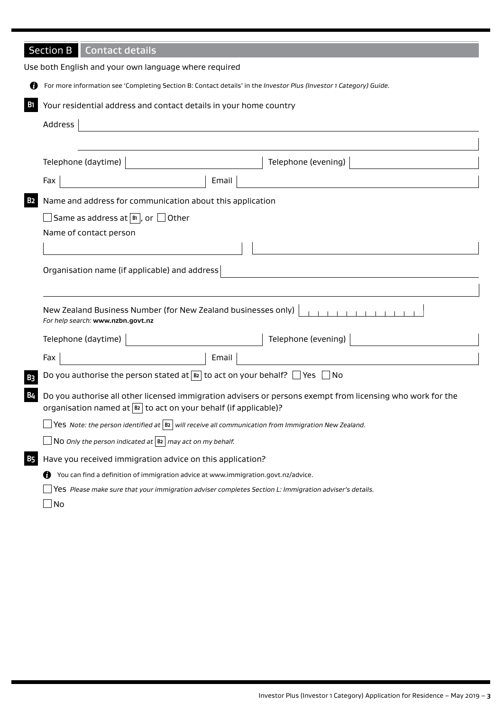|            | <b>Section B</b><br><b>Contact details</b>                                                                                                                                              |  |  |  |  |  |  |  |  |  |
|------------|-----------------------------------------------------------------------------------------------------------------------------------------------------------------------------------------|--|--|--|--|--|--|--|--|--|
|            | Use both English and your own language where required                                                                                                                                   |  |  |  |  |  |  |  |  |  |
| 69         | For more information see 'Completing Section B: Contact details' in the Investor Plus (Investor 1 Category) Guide.                                                                      |  |  |  |  |  |  |  |  |  |
| <b>B</b> 1 | Your residential address and contact details in your home country                                                                                                                       |  |  |  |  |  |  |  |  |  |
|            | Address                                                                                                                                                                                 |  |  |  |  |  |  |  |  |  |
|            |                                                                                                                                                                                         |  |  |  |  |  |  |  |  |  |
|            | Telephone (daytime)<br>Telephone (evening)                                                                                                                                              |  |  |  |  |  |  |  |  |  |
|            | Fax<br>Email                                                                                                                                                                            |  |  |  |  |  |  |  |  |  |
| <b>B2</b>  | Name and address for communication about this application                                                                                                                               |  |  |  |  |  |  |  |  |  |
|            | $\Box$ Same as address at $ \!$ $\scriptstyle\rm II}$ , or $\Box$ Other                                                                                                                 |  |  |  |  |  |  |  |  |  |
|            | Name of contact person                                                                                                                                                                  |  |  |  |  |  |  |  |  |  |
|            |                                                                                                                                                                                         |  |  |  |  |  |  |  |  |  |
|            | Organisation name (if applicable) and address                                                                                                                                           |  |  |  |  |  |  |  |  |  |
|            |                                                                                                                                                                                         |  |  |  |  |  |  |  |  |  |
|            | New Zealand Business Number (for New Zealand businesses only)<br>$\begin{array}{cccccccccccccc} 1 & 1 & 1 & 1 & 1 & 1 & 1 & 1 & 1 & 1 \end{array}$<br>For help search: www.nzbn.govt.nz |  |  |  |  |  |  |  |  |  |
|            | Telephone (evening)<br>Telephone (daytime)                                                                                                                                              |  |  |  |  |  |  |  |  |  |
|            | Fax<br>Email                                                                                                                                                                            |  |  |  |  |  |  |  |  |  |
| B3         | Do you authorise the person stated at $\boxed{\mathbb{B}2}$ to act on your behalf? $\Box$ Yes $\Box$ No                                                                                 |  |  |  |  |  |  |  |  |  |
| <b>B4</b>  | Do you authorise all other licensed immigration advisers or persons exempt from licensing who work for the<br>organisation named at $ B2 $ to act on your behalf (if applicable)?       |  |  |  |  |  |  |  |  |  |
|            | Yes Note: the person identified at $ B2 $ will receive all communication from Immigration New Zealand.                                                                                  |  |  |  |  |  |  |  |  |  |
|            | No Only the person indicated at $\boxed{B2}$ may act on my behalf.                                                                                                                      |  |  |  |  |  |  |  |  |  |
| B5         | Have you received immigration advice on this application?                                                                                                                               |  |  |  |  |  |  |  |  |  |
|            | You can find a definition of immigration advice at www.immigration.govt.nz/advice.<br>n                                                                                                 |  |  |  |  |  |  |  |  |  |
|            | Yes Please make sure that your immigration adviser completes Section L: Immigration adviser's details.                                                                                  |  |  |  |  |  |  |  |  |  |
|            | No                                                                                                                                                                                      |  |  |  |  |  |  |  |  |  |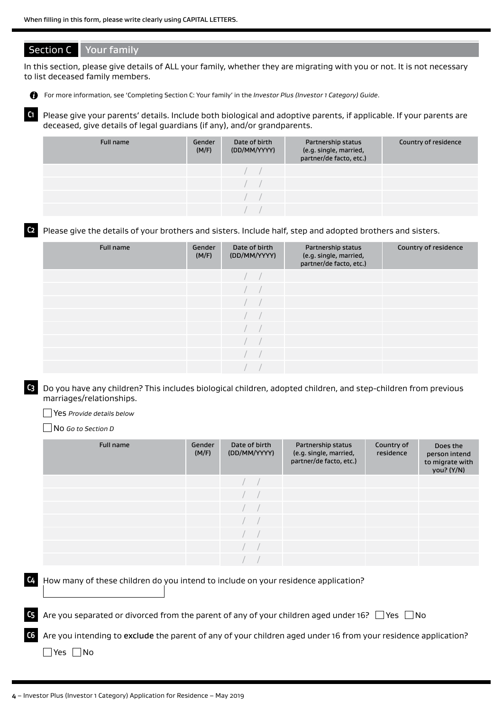## Section C Your family

In this section, please give details of ALL your family, whether they are migrating with you or not. It is not necessary to list deceased family members.

For more information, see 'Completing Section C: Your family' in the *Investor Plus (Investor 1 Category) Guide*.

**C1** Please give your parents' details. Include both biological and adoptive parents, if applicable. If your parents are deceased, give details of legal guardians (if any), and/or grandparents.

| Full name | Gender<br>(M/F) | Date of birth<br>(DD/MM/YYYY) | Partnership status<br>(e.g. single, married,<br>partner/de facto, etc.) | Country of residence |
|-----------|-----------------|-------------------------------|-------------------------------------------------------------------------|----------------------|
|           |                 |                               |                                                                         |                      |
|           |                 |                               |                                                                         |                      |
|           |                 |                               |                                                                         |                      |
|           |                 |                               |                                                                         |                      |

**C2** Please give the details of your brothers and sisters. Include half, step and adopted brothers and sisters.

| Full name | Gender<br>(M/F) | Date of birth<br>(DD/MM/YYYY) | Partnership status<br>(e.g. single, married,<br>partner/de facto, etc.) | Country of residence |
|-----------|-----------------|-------------------------------|-------------------------------------------------------------------------|----------------------|
|           |                 |                               |                                                                         |                      |
|           |                 |                               |                                                                         |                      |
|           |                 |                               |                                                                         |                      |
|           |                 |                               |                                                                         |                      |
|           |                 |                               |                                                                         |                      |
|           |                 |                               |                                                                         |                      |
|           |                 |                               |                                                                         |                      |
|           |                 |                               |                                                                         |                      |

**C3** Do you have any children? This includes biological children, adopted children, and step-children from previous marriages/relationships.

Yes *Provide details below*

No *Go to Section D*

| Full name | Gender<br>(M/F) | Date of birth<br>(DD/MM/YYYY) | Partnership status<br>(e.g. single, married,<br>partner/de facto, etc.) | Country of<br>residence | Does the<br>person intend<br>to migrate with<br>you? (Y/N) |
|-----------|-----------------|-------------------------------|-------------------------------------------------------------------------|-------------------------|------------------------------------------------------------|
|           |                 |                               |                                                                         |                         |                                                            |
|           |                 |                               |                                                                         |                         |                                                            |
|           |                 |                               |                                                                         |                         |                                                            |
|           |                 |                               |                                                                         |                         |                                                            |
|           |                 |                               |                                                                         |                         |                                                            |
|           |                 |                               |                                                                         |                         |                                                            |
|           |                 |                               |                                                                         |                         |                                                            |

**C4** How many of these children do you intend to include on your residence application?

Are you separated or divorced from the parent of any of your children aged under 16?  $\Box$  Yes  $\Box$  No

**C6** Are you intending to exclude the parent of any of your children aged under 16 from your residence application?  $\Box$  Yes  $\Box$  No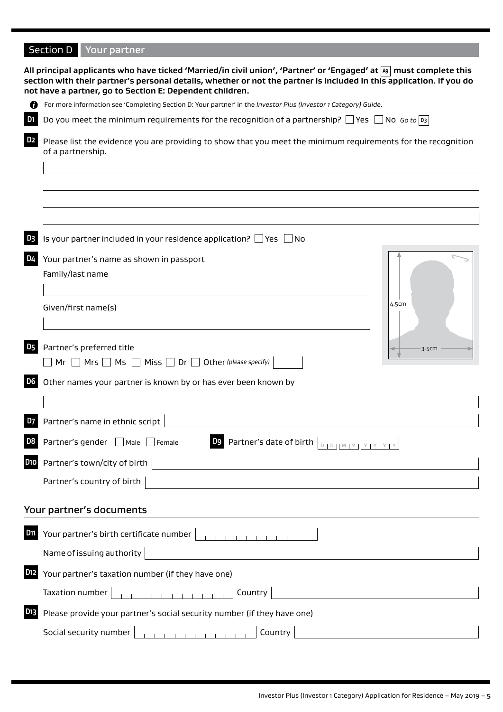# Section D Your partner

|                                                                                                                                          | section with their partner's personal details, whether or not the partner is included in this application. If you do<br>not have a partner, go to Section E: Dependent children.                                                                                |  |  |  |  |  |  |  |  |
|------------------------------------------------------------------------------------------------------------------------------------------|-----------------------------------------------------------------------------------------------------------------------------------------------------------------------------------------------------------------------------------------------------------------|--|--|--|--|--|--|--|--|
| O                                                                                                                                        | For more information see 'Completing Section D: Your partner' in the Investor Plus (Investor 1 Category) Guide.                                                                                                                                                 |  |  |  |  |  |  |  |  |
| D <sub>1</sub>                                                                                                                           | Do you meet the minimum requirements for the recognition of a partnership? $\Box$ Yes $\Box$ No $\omega$ to $ p_3 $                                                                                                                                             |  |  |  |  |  |  |  |  |
| D2<br>Please list the evidence you are providing to show that you meet the minimum requirements for the recognition<br>of a partnership. |                                                                                                                                                                                                                                                                 |  |  |  |  |  |  |  |  |
|                                                                                                                                          |                                                                                                                                                                                                                                                                 |  |  |  |  |  |  |  |  |
|                                                                                                                                          |                                                                                                                                                                                                                                                                 |  |  |  |  |  |  |  |  |
|                                                                                                                                          |                                                                                                                                                                                                                                                                 |  |  |  |  |  |  |  |  |
| D3                                                                                                                                       | Is your partner included in your residence application? $\Box$ Yes $\Box$ No                                                                                                                                                                                    |  |  |  |  |  |  |  |  |
| D4                                                                                                                                       | Your partner's name as shown in passport                                                                                                                                                                                                                        |  |  |  |  |  |  |  |  |
|                                                                                                                                          | Family/last name                                                                                                                                                                                                                                                |  |  |  |  |  |  |  |  |
|                                                                                                                                          |                                                                                                                                                                                                                                                                 |  |  |  |  |  |  |  |  |
|                                                                                                                                          | 4.5cm<br>Given/first name(s)                                                                                                                                                                                                                                    |  |  |  |  |  |  |  |  |
|                                                                                                                                          |                                                                                                                                                                                                                                                                 |  |  |  |  |  |  |  |  |
| <b>D5</b>                                                                                                                                | Partner's preferred title<br>3.5cm                                                                                                                                                                                                                              |  |  |  |  |  |  |  |  |
|                                                                                                                                          | $Mr \tMrs \tMs \tMs \tMiss \tNis \tM \tOr \tO the r$ (please specify)                                                                                                                                                                                           |  |  |  |  |  |  |  |  |
| D6                                                                                                                                       | Other names your partner is known by or has ever been known by                                                                                                                                                                                                  |  |  |  |  |  |  |  |  |
|                                                                                                                                          |                                                                                                                                                                                                                                                                 |  |  |  |  |  |  |  |  |
| D7                                                                                                                                       | Partner's name in ethnic script                                                                                                                                                                                                                                 |  |  |  |  |  |  |  |  |
|                                                                                                                                          | Partner's gender Male Female<br>D <sub>9</sub><br>Partner's date of birth<br>$D + D + M + M + Y + Y + Y + Y$                                                                                                                                                    |  |  |  |  |  |  |  |  |
| D <sub>10</sub>                                                                                                                          | Partner's town/city of birth                                                                                                                                                                                                                                    |  |  |  |  |  |  |  |  |
|                                                                                                                                          | Partner's country of birth                                                                                                                                                                                                                                      |  |  |  |  |  |  |  |  |
|                                                                                                                                          | <u> 1989 - Johann Barbara, martin a</u>                                                                                                                                                                                                                         |  |  |  |  |  |  |  |  |
|                                                                                                                                          | Your partner's documents                                                                                                                                                                                                                                        |  |  |  |  |  |  |  |  |
| D11                                                                                                                                      | Your partner's birth certificate number                                                                                                                                                                                                                         |  |  |  |  |  |  |  |  |
|                                                                                                                                          | Name of issuing authority<br><u> 1980 - Johann Barbara, martxa amerikan per</u>                                                                                                                                                                                 |  |  |  |  |  |  |  |  |
| D <sub>12</sub>                                                                                                                          | Your partner's taxation number (if they have one)                                                                                                                                                                                                               |  |  |  |  |  |  |  |  |
|                                                                                                                                          | $\frac{1}{2}$ . The state of the state of the state of the state of the state of the state of the state of the state of the state of the state of the state of the state of the state of the state of the state of the state of t<br>Taxation number<br>Country |  |  |  |  |  |  |  |  |
| D <sub>13</sub>                                                                                                                          | Please provide your partner's social security number (if they have one)                                                                                                                                                                                         |  |  |  |  |  |  |  |  |
|                                                                                                                                          | Country<br>Social security number                                                                                                                                                                                                                               |  |  |  |  |  |  |  |  |
|                                                                                                                                          |                                                                                                                                                                                                                                                                 |  |  |  |  |  |  |  |  |

**All principal applicants who have ticked 'Married/in civil union', 'Partner' or 'Engaged' at A9 must complete this**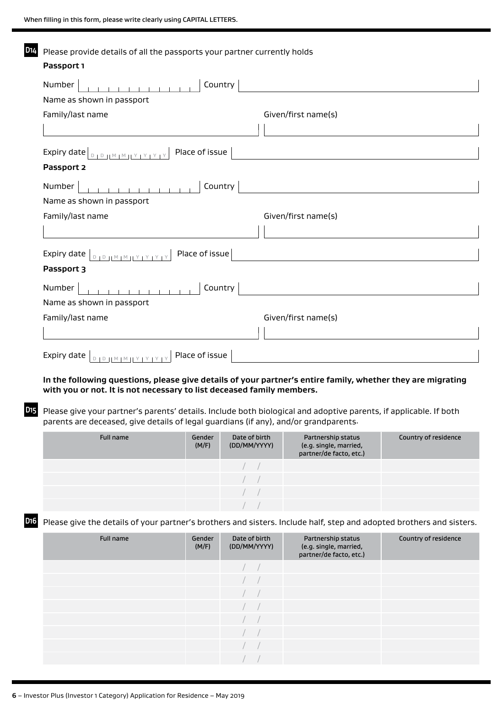| D14                                     | Please provide details of all the passports your partner currently holds                                                                                                                                  |                 |                               |                                                                         |                      |  |  |
|-----------------------------------------|-----------------------------------------------------------------------------------------------------------------------------------------------------------------------------------------------------------|-----------------|-------------------------------|-------------------------------------------------------------------------|----------------------|--|--|
|                                         | Passport 1                                                                                                                                                                                                |                 |                               |                                                                         |                      |  |  |
|                                         | Country<br>Number<br>$\mathbf{1}$ $\mathbf{1}$ $\mathbf{1}$ $\mathbf{1}$ $\mathbf{1}$                                                                                                                     |                 |                               |                                                                         |                      |  |  |
| Name as shown in passport               |                                                                                                                                                                                                           |                 |                               |                                                                         |                      |  |  |
| Family/last name<br>Given/first name(s) |                                                                                                                                                                                                           |                 |                               |                                                                         |                      |  |  |
|                                         |                                                                                                                                                                                                           |                 |                               |                                                                         |                      |  |  |
|                                         | Passport 2                                                                                                                                                                                                |                 |                               |                                                                         |                      |  |  |
|                                         | Number                                                                                                                                                                                                    |                 | Country                       |                                                                         |                      |  |  |
|                                         | Name as shown in passport                                                                                                                                                                                 |                 |                               |                                                                         |                      |  |  |
|                                         | Family/last name                                                                                                                                                                                          |                 |                               | Given/first name(s)                                                     |                      |  |  |
|                                         |                                                                                                                                                                                                           |                 |                               |                                                                         |                      |  |  |
|                                         | Expiry date $ $<br>$D + D + M + M + Y + Y +$                                                                                                                                                              | Place of issue  |                               |                                                                         |                      |  |  |
|                                         | Passport 3                                                                                                                                                                                                |                 |                               |                                                                         |                      |  |  |
|                                         | Number                                                                                                                                                                                                    |                 | Country                       |                                                                         |                      |  |  |
|                                         | Name as shown in passport                                                                                                                                                                                 |                 |                               |                                                                         |                      |  |  |
|                                         | Family/last name                                                                                                                                                                                          |                 |                               | Given/first name(s)                                                     |                      |  |  |
|                                         |                                                                                                                                                                                                           |                 |                               |                                                                         |                      |  |  |
|                                         | Expiry date $ _{D+D+ M+M+ Y+Y+Y }$                                                                                                                                                                        | Place of issue  |                               |                                                                         |                      |  |  |
|                                         | In the following questions, please give details of your partner's entire family, whether they are migrating                                                                                               |                 |                               |                                                                         |                      |  |  |
|                                         | with you or not. It is not necessary to list deceased family members.                                                                                                                                     |                 |                               |                                                                         |                      |  |  |
| D15                                     | Please give your partner's parents' details. Include both biological and adoptive parents, if applicable. If both<br>parents are deceased, give details of legal guardians (if any), and/or grandparents. |                 |                               |                                                                         |                      |  |  |
|                                         | <b>Full name</b>                                                                                                                                                                                          | Gender<br>(M/F) | Date of birth<br>(DD/MM/YYYY) | Partnership status<br>(e.g. single, married,<br>partner/de facto, etc.) | Country of residence |  |  |
|                                         |                                                                                                                                                                                                           |                 |                               |                                                                         |                      |  |  |
|                                         |                                                                                                                                                                                                           |                 |                               |                                                                         |                      |  |  |

**D16** Please give the details of your partner's brothers and sisters. Include half, step and adopted brothers and sisters.

/ / / /

| Full name | Gender<br>(M/F) | Date of birth<br>(DD/MM/YYYY) | Partnership status<br>(e.g. single, married,<br>partner/de facto, etc.) | Country of residence |
|-----------|-----------------|-------------------------------|-------------------------------------------------------------------------|----------------------|
|           |                 |                               |                                                                         |                      |
|           |                 |                               |                                                                         |                      |
|           |                 |                               |                                                                         |                      |
|           |                 |                               |                                                                         |                      |
|           |                 |                               |                                                                         |                      |
|           |                 |                               |                                                                         |                      |
|           |                 |                               |                                                                         |                      |
|           |                 |                               |                                                                         |                      |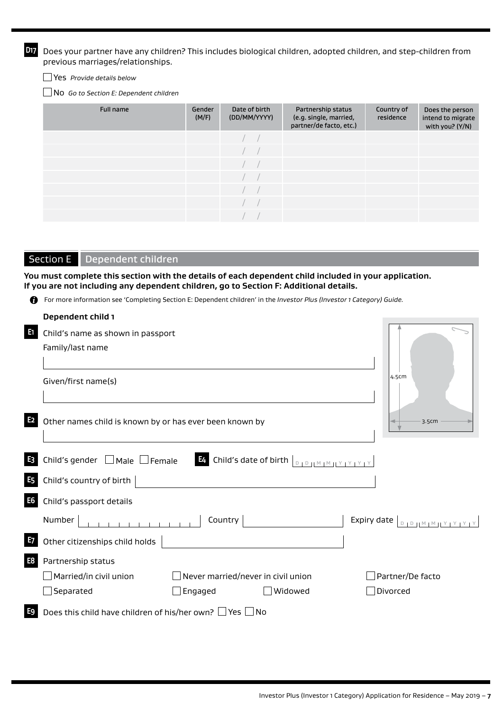**D17** Does your partner have any children? This includes biological children, adopted children, and step-children from previous marriages/relationships.

No *Go to Section E: Dependent children*

| Full name | Gender<br>(M/F) | Date of birth<br>(DD/MM/YYYY) | Partnership status<br>(e.g. single, married,<br>partner/de facto, etc.) | Country of<br>residence | Does the person<br>intend to migrate<br>with you? (Y/N) |
|-----------|-----------------|-------------------------------|-------------------------------------------------------------------------|-------------------------|---------------------------------------------------------|
|           |                 |                               |                                                                         |                         |                                                         |
|           |                 |                               |                                                                         |                         |                                                         |
|           |                 |                               |                                                                         |                         |                                                         |
|           |                 |                               |                                                                         |                         |                                                         |
|           |                 |                               |                                                                         |                         |                                                         |
|           |                 |                               |                                                                         |                         |                                                         |
|           |                 |                               |                                                                         |                         |                                                         |

## Section E Dependent children

**You must complete this section with the details of each dependent child included in your application. If you are not including any dependent children, go to Section F: Additional details.**

For more information see 'Completing Section E: Dependent children' in the *Investor Plus (Investor 1 Category) Guide.*

|                | Dependent child 1                                                  |                                       |                                                                                                                                 |             |                                     |
|----------------|--------------------------------------------------------------------|---------------------------------------|---------------------------------------------------------------------------------------------------------------------------------|-------------|-------------------------------------|
| E1             | Child's name as shown in passport                                  |                                       |                                                                                                                                 |             |                                     |
|                | Family/last name                                                   |                                       |                                                                                                                                 |             |                                     |
|                |                                                                    |                                       |                                                                                                                                 |             |                                     |
|                | Given/first name(s)                                                |                                       |                                                                                                                                 |             | 4.5cm                               |
|                |                                                                    |                                       |                                                                                                                                 |             |                                     |
|                |                                                                    |                                       |                                                                                                                                 |             |                                     |
| E <sub>2</sub> | Other names child is known by or has ever been known by            |                                       |                                                                                                                                 |             | 3.5cm                               |
|                |                                                                    |                                       |                                                                                                                                 |             |                                     |
| $E_3$          | Child's gender $\Box$ Male $\Box$ Female                           |                                       | E4 Child's date of birth $\left\lfloor \frac{D + D +  M  +  N  +  Y  +  Y }{D + D +  M  +  N  +  Y  +  Y  +  Y } \right\rfloor$ |             |                                     |
| <b>E5</b>      | Child's country of birth                                           |                                       |                                                                                                                                 |             |                                     |
| <b>E6</b>      | Child's passport details                                           |                                       |                                                                                                                                 |             |                                     |
|                | Number                                                             | <b>Country</b>                        |                                                                                                                                 | Expiry date | $D   D     M   M     Y   Y   Y   Y$ |
| E <sub>7</sub> | Other citizenships child holds                                     |                                       |                                                                                                                                 |             |                                     |
| E <sub>8</sub> | Partnership status                                                 |                                       |                                                                                                                                 |             |                                     |
|                | Married/in civil union                                             | Never married/never in civil union    |                                                                                                                                 |             | Partner/De facto                    |
|                | $\mathop{\mathsf{\scriptstyle\perp}}$ Separated                    | $\mathbin{\rule{0pt}{1.5ex}}$ Engaged | Widowed                                                                                                                         |             | Divorced                            |
| E <sub>9</sub> | Does this child have children of his/her own? $\Box$ Yes $\Box$ No |                                       |                                                                                                                                 |             |                                     |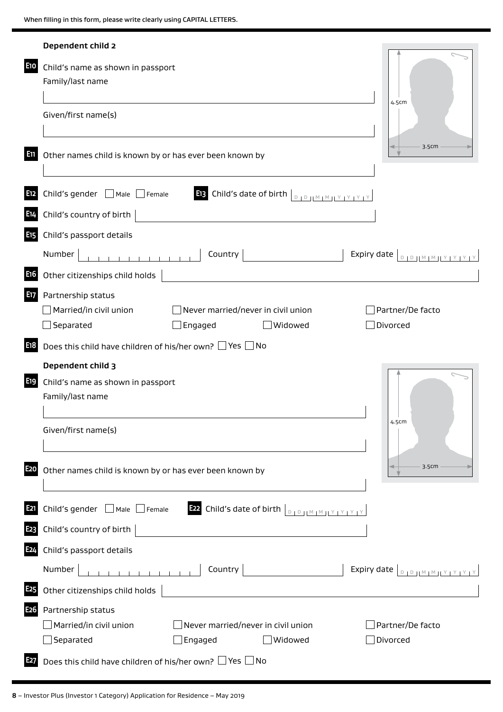|                  | Dependent child 2                                                                                                                                                                                                                                                                                                                                                                                                                             |
|------------------|-----------------------------------------------------------------------------------------------------------------------------------------------------------------------------------------------------------------------------------------------------------------------------------------------------------------------------------------------------------------------------------------------------------------------------------------------|
| <b>E10</b>       | Child's name as shown in passport<br>Family/last name                                                                                                                                                                                                                                                                                                                                                                                         |
|                  | 4.5cm<br>Given/first name(s)                                                                                                                                                                                                                                                                                                                                                                                                                  |
| 51               | 3.5cm<br>Other names child is known by or has ever been known by                                                                                                                                                                                                                                                                                                                                                                              |
| E <sub>12</sub>  | Child's gender ■ Male ■ Female<br><b>E13</b> Child's date of birth $\left[\begin{array}{c c} 0 & 0 & \text{if } 0 & \text{if } 0 & \text{if } 0 & \text{if } 0 & \text{if } 0 & \text{if } 0 & \text{if } 0 & \text{if } 0 & \text{if } 0 & \text{if } 0 & \text{if } 0 & \text{if } 0 & \text{if } 0 & \text{if } 0 & \text{if } 0 & \text{if } 0 & \text{if } 0 & \text{if } 0 & \text{if } 0 & \text{if } 0 & \text{if } 0 & \text{if } 0$ |
| E14              | Child's country of birth                                                                                                                                                                                                                                                                                                                                                                                                                      |
| E <sub>15</sub>  | Child's passport details                                                                                                                                                                                                                                                                                                                                                                                                                      |
|                  | Country  <br>Expiry date $\left[\begin{array}{c} 0 & 0 \end{array}\right]$ $\left[\begin{array}{c} 0 & 0 \end{array}\right]$ $\left[\begin{array}{c} 0 & 0 \end{array}\right]$ $\left[\begin{array}{c} 0 & 0 \end{array}\right]$<br>Number                                                                                                                                                                                                    |
| E <sub>16</sub>  | Other citizenships child holds                                                                                                                                                                                                                                                                                                                                                                                                                |
| E17              | Partnership status                                                                                                                                                                                                                                                                                                                                                                                                                            |
|                  | Married/in civil union<br>Never married/never in civil union<br>Partner/De facto                                                                                                                                                                                                                                                                                                                                                              |
|                  | $\exists$ Separated<br>J Engaged<br>Widowed<br>Divorced                                                                                                                                                                                                                                                                                                                                                                                       |
| E18              | Does this child have children of his/her own? $\Box$ Yes $\Box$ No                                                                                                                                                                                                                                                                                                                                                                            |
|                  | Dependent child 3                                                                                                                                                                                                                                                                                                                                                                                                                             |
| E <sub>19</sub>  | Child's name as shown in passport                                                                                                                                                                                                                                                                                                                                                                                                             |
|                  | Family/last name                                                                                                                                                                                                                                                                                                                                                                                                                              |
|                  | 4.5cm                                                                                                                                                                                                                                                                                                                                                                                                                                         |
|                  | Given/first name(s)                                                                                                                                                                                                                                                                                                                                                                                                                           |
|                  |                                                                                                                                                                                                                                                                                                                                                                                                                                               |
| E <sub>20</sub>  | 3.5cm<br>Other names child is known by or has ever been known by                                                                                                                                                                                                                                                                                                                                                                              |
|                  |                                                                                                                                                                                                                                                                                                                                                                                                                                               |
| <b>E21</b>       | <b>E22</b> Child's date of birth $\left[\begin{smallmatrix}0&1&0\0&1&0\end{smallmatrix}\right]$ $\left[\begin{smallmatrix}N&1&N&1&Y&1&Y&1&Y\end{smallmatrix}\right]$<br>Child's gender ■ Male ■ Female                                                                                                                                                                                                                                        |
| E <sub>2</sub> 3 | Child's country of birth $ $                                                                                                                                                                                                                                                                                                                                                                                                                  |
| E <sub>24</sub>  | Child's passport details                                                                                                                                                                                                                                                                                                                                                                                                                      |
|                  | . 1<br>Country   will also control to the control of the control of the control of the control of the control of the control of the control of the control of the control of the control of the control of the control of the control<br>Number<br>Expiry date $\left[ \begin{array}{c} \text{S} \\ \text{S} \end{array} \right]$                                                                                                             |
| E <sub>25</sub>  | Other citizenships child holds                                                                                                                                                                                                                                                                                                                                                                                                                |
| E26              | Partnership status                                                                                                                                                                                                                                                                                                                                                                                                                            |
|                  | Married/in civil union<br>$\Box$ Never married/never in civil union<br>Partner/De facto                                                                                                                                                                                                                                                                                                                                                       |
|                  | Separated<br>$\Box$ Engaged<br>Widowed<br>Divorced                                                                                                                                                                                                                                                                                                                                                                                            |
| E27              | Does this child have children of his/her own? $\Box$ Yes $\Box$ No                                                                                                                                                                                                                                                                                                                                                                            |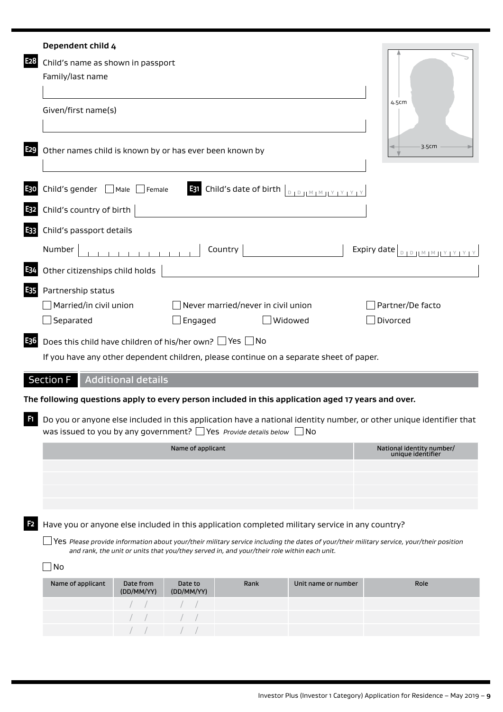|                  | Dependent child 4                                                       |                    |                   |                                                                                                    |                     |                                                                                                                                          |
|------------------|-------------------------------------------------------------------------|--------------------|-------------------|----------------------------------------------------------------------------------------------------|---------------------|------------------------------------------------------------------------------------------------------------------------------------------|
| E <sub>2</sub> 8 | Child's name as shown in passport<br>Family/last name                   |                    |                   |                                                                                                    |                     |                                                                                                                                          |
|                  | Given/first name(s)                                                     |                    |                   |                                                                                                    |                     | 4.5cm                                                                                                                                    |
| E <sub>29</sub>  | Other names child is known by or has ever been known by                 |                    |                   |                                                                                                    |                     | 3.5cm                                                                                                                                    |
| E30              | Child's gender $\Box$ Male $\Box$ Female                                |                    |                   | <b>E31</b> Child's date of birth $\left[\begin{array}{c c} 0 & 0 \end{array}\right]$               |                     |                                                                                                                                          |
| E32              | Child's country of birth                                                |                    |                   |                                                                                                    |                     |                                                                                                                                          |
| E33              | Child's passport details                                                |                    |                   |                                                                                                    |                     |                                                                                                                                          |
|                  | Number                                                                  |                    |                   | Country                                                                                            |                     | Expiry date <b>DEPARTMENT YEAR</b>                                                                                                       |
| E34              | Other citizenships child holds                                          |                    |                   |                                                                                                    |                     |                                                                                                                                          |
| E35              | Partnership status<br>$\Box$ Married/in civil union<br>$\Box$ Separated |                    | $\Box$ Engaged    | Never married/never in civil union                                                                 | Widowed             | Partner/De facto<br>$\exists$ Divorced                                                                                                   |
| E <sub>36</sub>  | Does this child have children of his/her own? $\Box$ Yes $\Box$ No      |                    |                   | If you have any other dependent children, please continue on a separate sheet of paper.            |                     |                                                                                                                                          |
|                  | <b>Section F</b>                                                        | Additional details |                   |                                                                                                    |                     |                                                                                                                                          |
|                  |                                                                         |                    |                   | The following questions apply to every person included in this application aged 17 years and over. |                     |                                                                                                                                          |
| Ø                |                                                                         |                    |                   | was issued to you by any government? $\Box$ Yes <i>Provide details below</i>                       | No                  | Do you or anyone else included in this application have a national identity number, or other unique identifier that                      |
|                  |                                                                         |                    | Name of applicant |                                                                                                    |                     | National identity number/<br>unique identifier                                                                                           |
|                  |                                                                         |                    |                   |                                                                                                    |                     |                                                                                                                                          |
|                  |                                                                         |                    |                   |                                                                                                    |                     |                                                                                                                                          |
|                  |                                                                         |                    |                   |                                                                                                    |                     |                                                                                                                                          |
| F <sub>2</sub>   |                                                                         |                    |                   | Have you or anyone else included in this application completed military service in any country?    |                     | Yes Please provide information about your/their military service including the dates of your/their military service, your/their position |
|                  | $\sqcup$ No                                                             |                    |                   | and rank, the unit or units that you/they served in, and your/their role within each unit.         |                     |                                                                                                                                          |
|                  | Name of applicant                                                       | Date from          | Date to           | Rank                                                                                               | Unit name or number | Role                                                                                                                                     |
|                  |                                                                         | (DD/MM/YY)         | (DD/MM/YY)        |                                                                                                    |                     |                                                                                                                                          |
|                  |                                                                         |                    |                   |                                                                                                    |                     |                                                                                                                                          |
|                  |                                                                         |                    |                   |                                                                                                    |                     |                                                                                                                                          |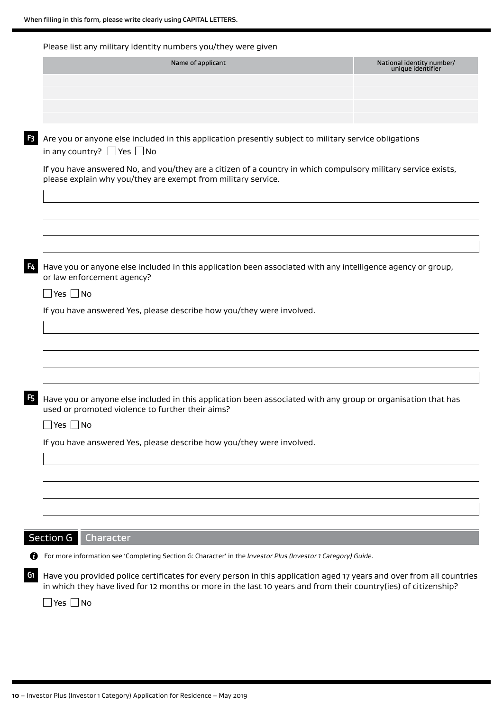Please list any military identity numbers you/they were given

| Name of applicant                                                                                                                                                                                                                       | National identity number/<br>unique identifier |
|-----------------------------------------------------------------------------------------------------------------------------------------------------------------------------------------------------------------------------------------|------------------------------------------------|
|                                                                                                                                                                                                                                         |                                                |
|                                                                                                                                                                                                                                         |                                                |
|                                                                                                                                                                                                                                         |                                                |
| Are you or anyone else included in this application presently subject to military service obligations                                                                                                                                   |                                                |
| in any country? $\Box$ Yes $\Box$ No                                                                                                                                                                                                    |                                                |
| If you have answered No, and you/they are a citizen of a country in which compulsory military service exists,<br>please explain why you/they are exempt from military service.                                                          |                                                |
|                                                                                                                                                                                                                                         |                                                |
| Have you or anyone else included in this application been associated with any intelligence agency or group,<br>or law enforcement agency?                                                                                               |                                                |
| $\Box$ Yes $\Box$ No                                                                                                                                                                                                                    |                                                |
| If you have answered Yes, please describe how you/they were involved.                                                                                                                                                                   |                                                |
|                                                                                                                                                                                                                                         |                                                |
|                                                                                                                                                                                                                                         |                                                |
|                                                                                                                                                                                                                                         |                                                |
| Have you or anyone else included in this application been associated with any group or organisation that has<br>used or promoted violence to further their aims?                                                                        |                                                |
| Yes $\Box$ No                                                                                                                                                                                                                           |                                                |
| If you have answered Yes, please describe how you/they were involved.                                                                                                                                                                   |                                                |
|                                                                                                                                                                                                                                         |                                                |
|                                                                                                                                                                                                                                         |                                                |
|                                                                                                                                                                                                                                         |                                                |
|                                                                                                                                                                                                                                         |                                                |
|                                                                                                                                                                                                                                         |                                                |
| Section G<br>Character                                                                                                                                                                                                                  |                                                |
| For more information see 'Completing Section G: Character' in the Investor Plus (Investor 1 Category) Guide.                                                                                                                            |                                                |
| Have you provided police certificates for every person in this application aged 17 years and over from all countries<br>in which they have lived for 12 months or more in the last 10 years and from their country(ies) of citizenship? |                                                |
|                                                                                                                                                                                                                                         |                                                |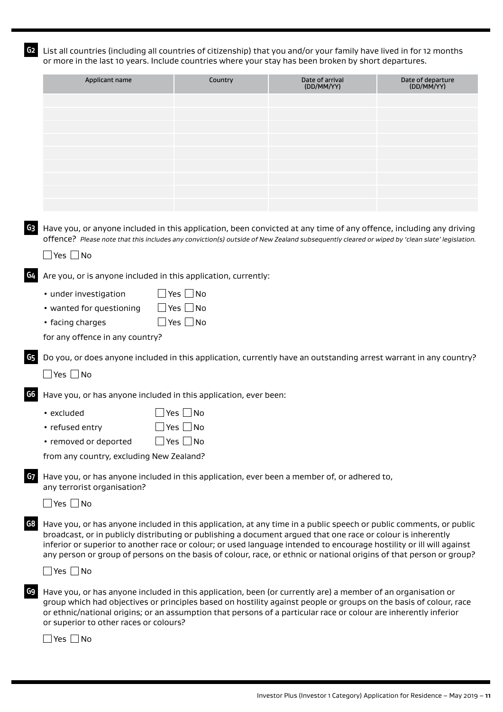**G2** List all countries (including all countries of citizenship) that you and/or your family have lived in for 12 months or more in the last 10 years. Include countries where your stay has been broken by short departures.

| Applicant name                               | Country                                                                                                                                                                                                                                                                                                                                                                                                                                                                           | Date of arrival<br>(DD/MM/YY) | Date of departure<br>(DD/MM/YY) |
|----------------------------------------------|-----------------------------------------------------------------------------------------------------------------------------------------------------------------------------------------------------------------------------------------------------------------------------------------------------------------------------------------------------------------------------------------------------------------------------------------------------------------------------------|-------------------------------|---------------------------------|
|                                              |                                                                                                                                                                                                                                                                                                                                                                                                                                                                                   |                               |                                 |
|                                              |                                                                                                                                                                                                                                                                                                                                                                                                                                                                                   |                               |                                 |
|                                              |                                                                                                                                                                                                                                                                                                                                                                                                                                                                                   |                               |                                 |
|                                              |                                                                                                                                                                                                                                                                                                                                                                                                                                                                                   |                               |                                 |
|                                              |                                                                                                                                                                                                                                                                                                                                                                                                                                                                                   |                               |                                 |
|                                              |                                                                                                                                                                                                                                                                                                                                                                                                                                                                                   |                               |                                 |
|                                              |                                                                                                                                                                                                                                                                                                                                                                                                                                                                                   |                               |                                 |
|                                              |                                                                                                                                                                                                                                                                                                                                                                                                                                                                                   |                               |                                 |
| G3                                           | Have you, or anyone included in this application, been convicted at any time of any offence, including any driving<br>offence? Please note that this includes any conviction(s) outside of New Zealand subsequently cleared or wiped by 'clean slate' legislation.                                                                                                                                                                                                                |                               |                                 |
| $\Box$ Yes $\Box$ No                         |                                                                                                                                                                                                                                                                                                                                                                                                                                                                                   |                               |                                 |
| G4                                           | Are you, or is anyone included in this application, currently:                                                                                                                                                                                                                                                                                                                                                                                                                    |                               |                                 |
| • under investigation                        | $\Box$ Yes $\Box$ No                                                                                                                                                                                                                                                                                                                                                                                                                                                              |                               |                                 |
| • wanted for questioning                     | $\Box$ Yes $\Box$ No                                                                                                                                                                                                                                                                                                                                                                                                                                                              |                               |                                 |
| • facing charges                             | $\Box$ Yes $\Box$ No                                                                                                                                                                                                                                                                                                                                                                                                                                                              |                               |                                 |
| for any offence in any country?              |                                                                                                                                                                                                                                                                                                                                                                                                                                                                                   |                               |                                 |
| G5                                           | Do you, or does anyone included in this application, currently have an outstanding arrest warrant in any country?                                                                                                                                                                                                                                                                                                                                                                 |                               |                                 |
| $\Box$ Yes $\Box$ No                         |                                                                                                                                                                                                                                                                                                                                                                                                                                                                                   |                               |                                 |
| G6                                           | Have you, or has anyone included in this application, ever been:                                                                                                                                                                                                                                                                                                                                                                                                                  |                               |                                 |
| • excluded                                   | $ Yes $ No                                                                                                                                                                                                                                                                                                                                                                                                                                                                        |                               |                                 |
| • refused entry                              | $\Box$ Yes $\Box$ No                                                                                                                                                                                                                                                                                                                                                                                                                                                              |                               |                                 |
| • removed or deported                        | $\Box$ Yes $\Box$ No                                                                                                                                                                                                                                                                                                                                                                                                                                                              |                               |                                 |
| from any country, excluding New Zealand?     |                                                                                                                                                                                                                                                                                                                                                                                                                                                                                   |                               |                                 |
| G7<br>any terrorist organisation?            | Have you, or has anyone included in this application, ever been a member of, or adhered to,                                                                                                                                                                                                                                                                                                                                                                                       |                               |                                 |
| $\Box$ Yes $\Box$ No                         |                                                                                                                                                                                                                                                                                                                                                                                                                                                                                   |                               |                                 |
| G8                                           | Have you, or has anyone included in this application, at any time in a public speech or public comments, or public<br>broadcast, or in publicly distributing or publishing a document argued that one race or colour is inherently<br>inferior or superior to another race or colour; or used language intended to encourage hostility or ill will against<br>any person or group of persons on the basis of colour, race, or ethnic or national origins of that person or group? |                               |                                 |
| $\Box$ Yes $\Box$ No                         |                                                                                                                                                                                                                                                                                                                                                                                                                                                                                   |                               |                                 |
| G9<br>or superior to other races or colours? | Have you, or has anyone included in this application, been (or currently are) a member of an organisation or<br>group which had objectives or principles based on hostility against people or groups on the basis of colour, race<br>or ethnic/national origins; or an assumption that persons of a particular race or colour are inherently inferior                                                                                                                             |                               |                                 |
|                                              |                                                                                                                                                                                                                                                                                                                                                                                                                                                                                   |                               |                                 |

 $\Box$  Yes  $\Box$  No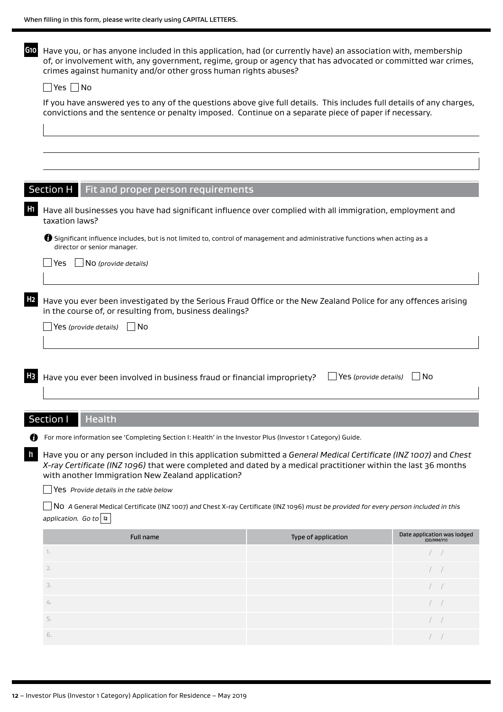**G10** Have you, or has anyone included in this application, had (or currently have) an association with, membership of, or involvement with, any government, regime, group or agency that has advocated or committed war crimes, crimes against humanity and/or other gross human rights abuses?

#### $\Box$  Yes  $\Box$  No

If you have answered yes to any of the questions above give full details. This includes full details of any charges, convictions and the sentence or penalty imposed. Continue on a separate piece of paper if necessary.

|                | <b>Section H</b><br>Fit and proper person requirements                                                                                                                                                                                                                                                                            |                       |                                                             |  |  |  |  |  |  |  |  |
|----------------|-----------------------------------------------------------------------------------------------------------------------------------------------------------------------------------------------------------------------------------------------------------------------------------------------------------------------------------|-----------------------|-------------------------------------------------------------|--|--|--|--|--|--|--|--|
|                |                                                                                                                                                                                                                                                                                                                                   |                       |                                                             |  |  |  |  |  |  |  |  |
| H <sub>1</sub> | Have all businesses you have had significant influence over complied with all immigration, employment and<br>taxation laws?                                                                                                                                                                                                       |                       |                                                             |  |  |  |  |  |  |  |  |
|                | 5 Significant influence includes, but is not limited to, control of management and administrative functions when acting as a<br>director or senior manager.                                                                                                                                                                       |                       |                                                             |  |  |  |  |  |  |  |  |
|                | $\Box$ NO (provide details)<br>Yes                                                                                                                                                                                                                                                                                                |                       |                                                             |  |  |  |  |  |  |  |  |
| H <sub>2</sub> | Have you ever been investigated by the Serious Fraud Office or the New Zealand Police for any offences arising<br>in the course of, or resulting from, business dealings?<br>Yes (provide details)<br>l No                                                                                                                        |                       |                                                             |  |  |  |  |  |  |  |  |
|                |                                                                                                                                                                                                                                                                                                                                   |                       |                                                             |  |  |  |  |  |  |  |  |
| <b>H3</b>      | Have you ever been involved in business fraud or financial impropriety?                                                                                                                                                                                                                                                           | Yes (provide details) | No.                                                         |  |  |  |  |  |  |  |  |
|                |                                                                                                                                                                                                                                                                                                                                   |                       |                                                             |  |  |  |  |  |  |  |  |
|                | Section I<br><b>Health</b>                                                                                                                                                                                                                                                                                                        |                       |                                                             |  |  |  |  |  |  |  |  |
|                | For more information see 'Completing Section I: Health' in the Investor Plus (Investor 1 Category) Guide.                                                                                                                                                                                                                         |                       |                                                             |  |  |  |  |  |  |  |  |
| $\mathbf{u}$   | Have you or any person included in this application submitted a General Medical Certificate (INZ 1007) and Chest<br>X-ray Certificate (INZ 1096) that were completed and dated by a medical practitioner within the last 36 months<br>with another Immigration New Zealand application?<br>Yes Provide details in the table below |                       |                                                             |  |  |  |  |  |  |  |  |
|                | No A General Medical Certificate (INZ 1007) and Chest X-ray Certificate (INZ 1096) must be provided for every person included in this<br>application. Go to $ a $                                                                                                                                                                 |                       |                                                             |  |  |  |  |  |  |  |  |
|                | <b>Full name</b>                                                                                                                                                                                                                                                                                                                  | Type of application   |                                                             |  |  |  |  |  |  |  |  |
|                | 1.                                                                                                                                                                                                                                                                                                                                |                       | Date application was lodged                                 |  |  |  |  |  |  |  |  |
|                |                                                                                                                                                                                                                                                                                                                                   |                       | (DD/MM/YY)<br>$\left  \begin{array}{c} \end{array} \right $ |  |  |  |  |  |  |  |  |
|                | 2.                                                                                                                                                                                                                                                                                                                                |                       | $\hspace{0.1cm} / \hspace{0.1cm}$                           |  |  |  |  |  |  |  |  |
|                | 3.                                                                                                                                                                                                                                                                                                                                |                       | $\cal N$                                                    |  |  |  |  |  |  |  |  |
|                | $\mathcal{L}_{\vdash}.$                                                                                                                                                                                                                                                                                                           |                       | $\hspace{0.1cm} / \hspace{0.1cm}$                           |  |  |  |  |  |  |  |  |

6.  $\hspace{1.6cm}$  / / /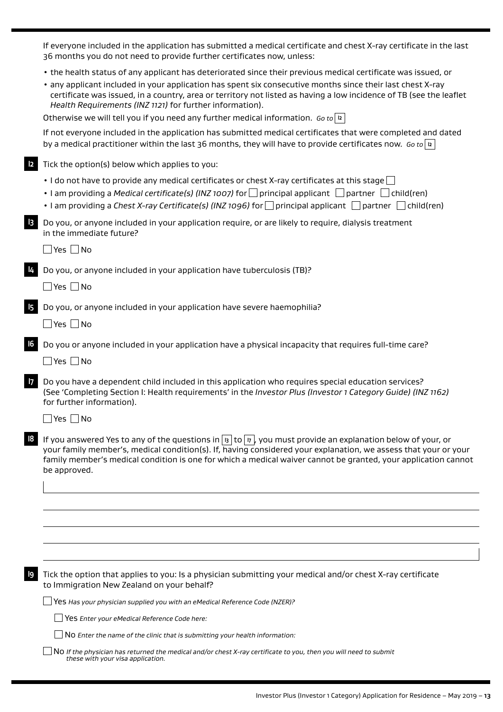If everyone included in the application has submitted a medical certificate and chest X-ray certificate in the last 36 months you do not need to provide further certificates now, unless:

- the health status of any applicant has deteriorated since their previous medical certificate was issued, or
- any applicant included in your application has spent six consecutive months since their last chest X-ray certificate was issued, in a country, area or territory not listed as having a low incidence of TB (see the leaflet *Health Requirements (INZ 1121)* for further information).

Otherwise we will tell you if you need any further medical information. *Go to* **I2**

If not everyone included in the application has submitted medical certificates that were completed and dated by a medical practitioner within the last 36 months, they will have to provide certificates now. *Go to* **I2**

Tick the option(s) below which applies to you:

- I do not have to provide any medical certificates or chest X-ray certificates at this stage  $\Box$
- I am providing a *Medical certificate(s) (INZ 1007)* for  $\Box$  principal applicant  $\Box$  partner  $\Box$  child(ren)
- I am providing a *Chest X-ray Certificate(s) (INZ 1096)* for principal applicant partner child(ren)

**I3** Do you, or anyone included in your application require, or are likely to require, dialysis treatment in the immediate future?

 $\Box$ Yes  $\Box$ No

**I4** Do you, or anyone included in your application have tuberculosis (TB)?

 $\Box$ Yes  $\Box$ No

**I5** Do you, or anyone included in your application have severe haemophilia?

 $\Box$ Yes  $\Box$ No

**I6** Do you or anyone included in your application have a physical incapacity that requires full-time care?

 $\Box$ Yes  $\Box$ No

**I7** Do you have a dependent child included in this application who requires special education services? (See 'Completing Section I: Health requirements' in the *Investor Plus (Investor 1 Category Guide) (INZ 1162)* for further information).

 $\Box$  Yes  $\Box$  No

**I8** If you answered Yes to any of the questions in **I3** to **I7** , you must provide an explanation below of your, or your family member's, medical condition(s). If, having considered your explanation, we assess that your or your family member's medical condition is one for which a medical waiver cannot be granted, your application cannot be approved.

**I9** Tick the option that applies to you: Is a physician submitting your medical and/or chest X-ray certificate to Immigration New Zealand on your behalf?

Yes *Has your physician supplied you with an eMedical Reference Code (NZER)?* 

Yes *Enter your eMedical Reference Code here:* 

No *Enter the name of the clinic that is submitting your health information:*

No *If the physician has returned the medical and/or chest X-ray certificate to you, then you will need to submit these with your visa application.*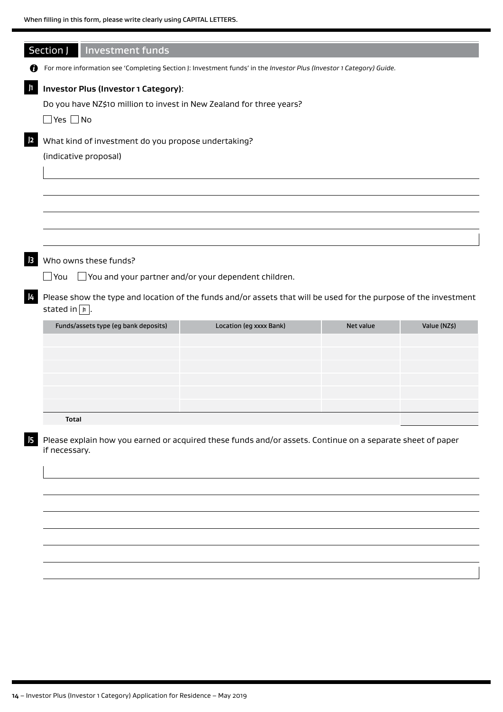|                                                                                      | Section J   Investment funds                                                                                                                         |                                                                                                                     |           |              |  |  |  |  |  |  |
|--------------------------------------------------------------------------------------|------------------------------------------------------------------------------------------------------------------------------------------------------|---------------------------------------------------------------------------------------------------------------------|-----------|--------------|--|--|--|--|--|--|
| Ø                                                                                    |                                                                                                                                                      | For more information see 'Completing Section J: Investment funds' in the Investor Plus (Investor 1 Category) Guide. |           |              |  |  |  |  |  |  |
|                                                                                      | Investor Plus (Investor 1 Category):                                                                                                                 |                                                                                                                     |           |              |  |  |  |  |  |  |
| $\mathbf{h}$<br>Do you have NZ\$10 million to invest in New Zealand for three years? |                                                                                                                                                      |                                                                                                                     |           |              |  |  |  |  |  |  |
|                                                                                      | $\Box$ Yes $\Box$ No                                                                                                                                 |                                                                                                                     |           |              |  |  |  |  |  |  |
| 2                                                                                    | What kind of investment do you propose undertaking?                                                                                                  |                                                                                                                     |           |              |  |  |  |  |  |  |
|                                                                                      | (indicative proposal)                                                                                                                                |                                                                                                                     |           |              |  |  |  |  |  |  |
|                                                                                      |                                                                                                                                                      |                                                                                                                     |           |              |  |  |  |  |  |  |
|                                                                                      |                                                                                                                                                      |                                                                                                                     |           |              |  |  |  |  |  |  |
|                                                                                      |                                                                                                                                                      |                                                                                                                     |           |              |  |  |  |  |  |  |
|                                                                                      |                                                                                                                                                      |                                                                                                                     |           |              |  |  |  |  |  |  |
| $\vert$ 3                                                                            | Who owns these funds?                                                                                                                                |                                                                                                                     |           |              |  |  |  |  |  |  |
| $\Box$ You                                                                           |                                                                                                                                                      | $\Box$ You and your partner and/or your dependent children.                                                         |           |              |  |  |  |  |  |  |
| J4                                                                                   | Please show the type and location of the funds and/or assets that will be used for the purpose of the investment<br>stated in $\boxed{\mathbb{h}}$ . |                                                                                                                     |           |              |  |  |  |  |  |  |
|                                                                                      | Funds/assets type (eg bank deposits)                                                                                                                 | Location (eg xxxx Bank)                                                                                             | Net value | Value (NZ\$) |  |  |  |  |  |  |
|                                                                                      |                                                                                                                                                      |                                                                                                                     |           |              |  |  |  |  |  |  |
|                                                                                      |                                                                                                                                                      |                                                                                                                     |           |              |  |  |  |  |  |  |
|                                                                                      |                                                                                                                                                      |                                                                                                                     |           |              |  |  |  |  |  |  |
|                                                                                      |                                                                                                                                                      |                                                                                                                     |           |              |  |  |  |  |  |  |
|                                                                                      |                                                                                                                                                      |                                                                                                                     |           |              |  |  |  |  |  |  |
|                                                                                      | <b>Total</b>                                                                                                                                         |                                                                                                                     |           |              |  |  |  |  |  |  |
| if necessary.                                                                        |                                                                                                                                                      | Please explain how you earned or acquired these funds and/or assets. Continue on a separate sheet of paper          |           |              |  |  |  |  |  |  |
| 15                                                                                   |                                                                                                                                                      |                                                                                                                     |           |              |  |  |  |  |  |  |
|                                                                                      |                                                                                                                                                      |                                                                                                                     |           |              |  |  |  |  |  |  |
|                                                                                      |                                                                                                                                                      |                                                                                                                     |           |              |  |  |  |  |  |  |
|                                                                                      |                                                                                                                                                      |                                                                                                                     |           |              |  |  |  |  |  |  |
|                                                                                      |                                                                                                                                                      |                                                                                                                     |           |              |  |  |  |  |  |  |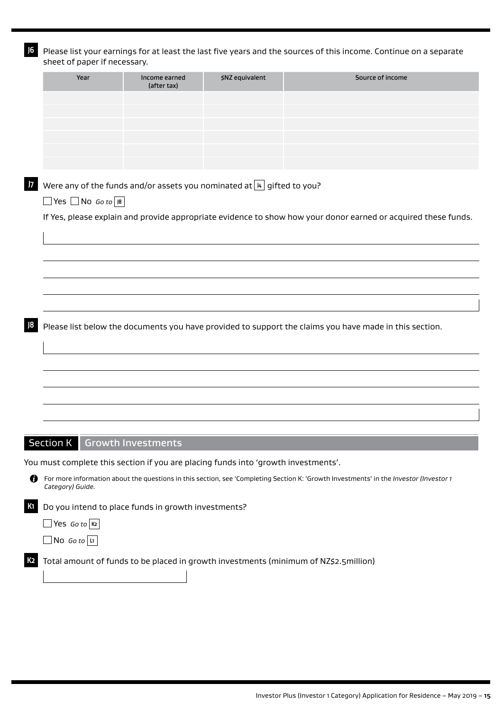| J6<br>sheet of paper if necessary.                                                 |                                                                               |                 | Please list your earnings for at least the last five years and the sources of this income. Continue on a separate                     |
|------------------------------------------------------------------------------------|-------------------------------------------------------------------------------|-----------------|---------------------------------------------------------------------------------------------------------------------------------------|
| Year                                                                               | Income earned<br>(after tax)                                                  | \$NZ equivalent | Source of income                                                                                                                      |
|                                                                                    |                                                                               |                 |                                                                                                                                       |
|                                                                                    |                                                                               |                 |                                                                                                                                       |
|                                                                                    |                                                                               |                 |                                                                                                                                       |
|                                                                                    |                                                                               |                 |                                                                                                                                       |
| $\overline{7}$<br>$\Box$ Yes $\Box$ No Go to $\Box$                                | Were any of the funds and/or assets you nominated at $  \mu  $ gifted to you? |                 |                                                                                                                                       |
|                                                                                    |                                                                               |                 | If Yes, please explain and provide appropriate evidence to show how your donor earned or acquired these funds.                        |
|                                                                                    |                                                                               |                 |                                                                                                                                       |
|                                                                                    |                                                                               |                 |                                                                                                                                       |
|                                                                                    |                                                                               |                 |                                                                                                                                       |
|                                                                                    |                                                                               |                 |                                                                                                                                       |
|                                                                                    |                                                                               |                 |                                                                                                                                       |
|                                                                                    |                                                                               |                 | Please list below the documents you have provided to support the claims you have made in this section.                                |
|                                                                                    |                                                                               |                 |                                                                                                                                       |
|                                                                                    |                                                                               |                 |                                                                                                                                       |
|                                                                                    |                                                                               |                 |                                                                                                                                       |
|                                                                                    |                                                                               |                 |                                                                                                                                       |
|                                                                                    |                                                                               |                 |                                                                                                                                       |
| <b>Section K</b>                                                                   | <b>Growth Investments</b>                                                     |                 |                                                                                                                                       |
| You must complete this section if you are placing funds into 'growth investments'. |                                                                               |                 |                                                                                                                                       |
| O<br>Category) Guide.                                                              |                                                                               |                 | For more information about the questions in this section, see 'Completing Section K: 'Growth Investments' in the Investor (Investor 1 |
| К1                                                                                 | Do you intend to place funds in growth investments?                           |                 |                                                                                                                                       |
| $\Box$ Yes Go to $\kappa$                                                          |                                                                               |                 |                                                                                                                                       |
| No Go to $ I $                                                                     |                                                                               |                 |                                                                                                                                       |
| K2                                                                                 |                                                                               |                 | Total amount of funds to be placed in growth investments (minimum of NZ\$2.5million)                                                  |
|                                                                                    |                                                                               |                 |                                                                                                                                       |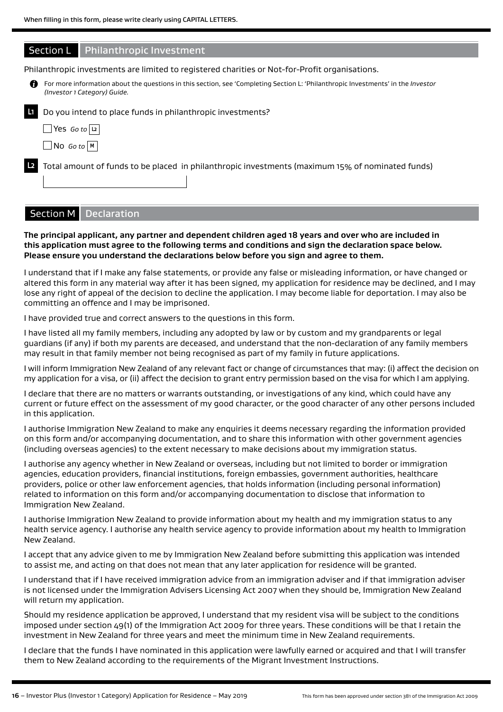|   | <b>Section L</b>                  | <b>Philanthropic Investment</b>                                                                                                                                  |
|---|-----------------------------------|------------------------------------------------------------------------------------------------------------------------------------------------------------------|
|   |                                   | Philanthropic investments are limited to registered charities or Not-for-Profit organisations.                                                                   |
| n |                                   | For more information about the questions in this section, see 'Completing Section L: 'Philanthropic Investments' in the Investor<br>(Investor 1 Category) Guide. |
|   |                                   | Do you intend to place funds in philanthropic investments?                                                                                                       |
|   | $\Box$ Yes <i>Go</i> to $ u $     |                                                                                                                                                                  |
|   | $\Box$ No Go to $\vert$ M $\vert$ |                                                                                                                                                                  |
|   |                                   | Total amount of funds to be placed in philanthropic investments (maximum 15% of nominated funds)                                                                 |
|   |                                   |                                                                                                                                                                  |

## Section M Declaration

#### **The principal applicant, any partner and dependent children aged 18 years and over who are included in this application must agree to the following terms and conditions and sign the declaration space below. Please ensure you understand the declarations below before you sign and agree to them.**

I understand that if I make any false statements, or provide any false or misleading information, or have changed or altered this form in any material way after it has been signed, my application for residence may be declined, and I may lose any right of appeal of the decision to decline the application. I may become liable for deportation. I may also be committing an offence and I may be imprisoned.

I have provided true and correct answers to the questions in this form.

I have listed all my family members, including any adopted by law or by custom and my grandparents or legal guardians (if any) if both my parents are deceased, and understand that the non-declaration of any family members may result in that family member not being recognised as part of my family in future applications.

I will inform Immigration New Zealand of any relevant fact or change of circumstances that may: (i) affect the decision on my application for a visa, or (ii) affect the decision to grant entry permission based on the visa for which I am applying.

I declare that there are no matters or warrants outstanding, or investigations of any kind, which could have any current or future effect on the assessment of my good character, or the good character of any other persons included in this application.

I authorise Immigration New Zealand to make any enquiries it deems necessary regarding the information provided on this form and/or accompanying documentation, and to share this information with other government agencies (including overseas agencies) to the extent necessary to make decisions about my immigration status.

I authorise any agency whether in New Zealand or overseas, including but not limited to border or immigration agencies, education providers, financial institutions, foreign embassies, government authorities, healthcare providers, police or other law enforcement agencies, that holds information (including personal information) related to information on this form and/or accompanying documentation to disclose that information to Immigration New Zealand.

I authorise Immigration New Zealand to provide information about my health and my immigration status to any health service agency. I authorise any health service agency to provide information about my health to Immigration New Zealand.

I accept that any advice given to me by Immigration New Zealand before submitting this application was intended to assist me, and acting on that does not mean that any later application for residence will be granted.

I understand that if I have received immigration advice from an immigration adviser and if that immigration adviser is not licensed under the Immigration Advisers Licensing Act 2007 when they should be, Immigration New Zealand will return my application.

Should my residence application be approved, I understand that my resident visa will be subject to the conditions imposed under section 49(1) of the Immigration Act 2009 for three years. These conditions will be that I retain the investment in New Zealand for three years and meet the minimum time in New Zealand requirements.

I declare that the funds I have nominated in this application were lawfully earned or acquired and that I will transfer them to New Zealand according to the requirements of the Migrant Investment Instructions.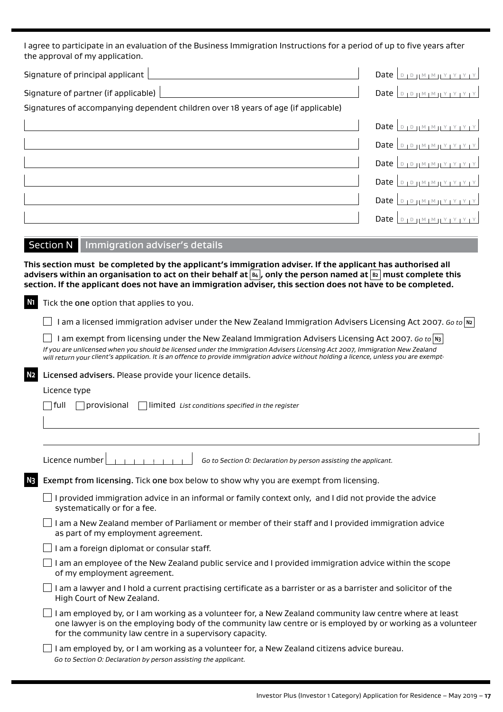I agree to participate in an evaluation of the Business Immigration Instructions for a period of up to five years after the approval of my application.

| Signature of principal applicant                                                   |                                                |
|------------------------------------------------------------------------------------|------------------------------------------------|
| Signature of partner (if applicable)                                               |                                                |
| Signatures of accompanying dependent children over 18 years of age (if applicable) |                                                |
|                                                                                    | Date $D_{1}D_{1}M_{1}M_{1}Y_{1}Y_{1}Y_{1}Y$    |
|                                                                                    | Date $D_{1}D_{1}M_{1}M_{1}Y_{1}Y_{1}Y_{1}Y$    |
|                                                                                    | Date $D_{1}D_{1}M_{1}M_{1}Y_{1}Y_{1}Y_{1}Y$    |
|                                                                                    | Date $D_{1}D_{1}M_{1}M_{1}Y_{1}Y_{1}Y_{1}Y$    |
|                                                                                    | Date $D_{1}D_{1}M_{1}M_{1}Y_{1}Y_{1}Y_{1}Y$    |
|                                                                                    | Date $\vert$ D   D   M   M   Y   Y   Y   Y   Y |
| Immigration adviser's details<br><b>Section N</b>                                  |                                                |
|                                                                                    |                                                |

**This section must be completed by the applicant's immigration adviser. If the applicant has authorised all advisers within an organisation to act on their behalf at B4 , only the person named at B2 must complete this section. If the applicant does not have an immigration adviser, this section does not have to be completed.**

**N1** Tick the one option that applies to you.

I am a licensed immigration adviser under the New Zealand Immigration Advisers Licensing Act 2007. *Go to* **N2**

I am exempt from licensing under the New Zealand Immigration Advisers Licensing Act 2007. *Go to*  $|N3|$ *If you are unlicensed when you should be licensed under the Immigration Advisers Licensing Act 2007, Immigration New Zealand will return your client's application. It is an offence to provide immigration advice without holding a licence, unless you are exempt.*

**N2** Licensed advisers. Please provide your licence details.

#### Licence type

full provisional limited *List conditions specified in the register*

Licence number *Go to Section O: Declaration by person assisting the applicant.*

**N3** Exempt from licensing. Tick one box below to show why you are exempt from licensing.

 $\Box$  I provided immigration advice in an informal or family context only, and I did not provide the advice systematically or for a fee.

 $\Box$  I am a New Zealand member of Parliament or member of their staff and I provided immigration advice as part of my employment agreement.

 $\Box$  I am a foreign diplomat or consular staff.

 $\Box$  I am an employee of the New Zealand public service and I provided immigration advice within the scope of my employment agreement.

 $\Box$  I am a lawyer and I hold a current practising certificate as a barrister or as a barrister and solicitor of the High Court of New Zealand.

 $\Box$  I am employed by, or I am working as a volunteer for, a New Zealand community law centre where at least one lawyer is on the employing body of the community law centre or is employed by or working as a volunteer for the community law centre in a supervisory capacity.

 $\Box$  I am employed by, or I am working as a volunteer for, a New Zealand citizens advice bureau. *Go to Section O: Declaration by person assisting the applicant.*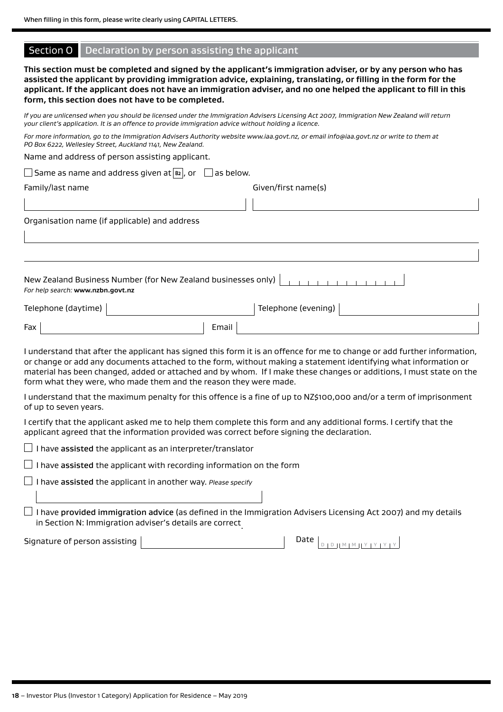#### Section O Declaration by person assisting the applicant

**This section must be completed and signed by the applicant's immigration adviser, or by any person who has assisted the applicant by providing immigration advice, explaining, translating, or filling in the form for the applicant. If the applicant does not have an immigration adviser, and no one helped the applicant to fill in this form, this section does not have to be completed.**

*If you are unlicensed when you should be licensed under the Immigration Advisers Licensing Act 2007, Immigration New Zealand will return your client's application. It is an offence to provide immigration advice without holding a licence.*

*For more information, go to the Immigration Advisers Authority website www.iaa.govt.nz, or email info@iaa.govt.nz or write to them at PO Box 6222, Wellesley Street, Auckland 1141, New Zealand.*

Name and address of person assisting applicant.

| $\Box$ Same as name and address given at $\boxed{\mathtt{B2}}$ , or<br>$\Box$ as below.            |                     |  |  |  |  |  |  |  |
|----------------------------------------------------------------------------------------------------|---------------------|--|--|--|--|--|--|--|
| Family/last name                                                                                   | Given/first name(s) |  |  |  |  |  |  |  |
|                                                                                                    |                     |  |  |  |  |  |  |  |
| Organisation name (if applicable) and address                                                      |                     |  |  |  |  |  |  |  |
|                                                                                                    |                     |  |  |  |  |  |  |  |
|                                                                                                    |                     |  |  |  |  |  |  |  |
| New Zealand Business Number (for New Zealand businesses only)<br>For help search: www.nzbn.govt.nz |                     |  |  |  |  |  |  |  |
| Telephone (daytime)                                                                                | Telephone (evening) |  |  |  |  |  |  |  |
| Fax<br>Email                                                                                       |                     |  |  |  |  |  |  |  |

I understand that after the applicant has signed this form it is an offence for me to change or add further information, or change or add any documents attached to the form, without making a statement identifying what information or material has been changed, added or attached and by whom. If I make these changes or additions, I must state on the form what they were, who made them and the reason they were made.

I understand that the maximum penalty for this offence is a fine of up to NZ\$100,000 and/or a term of imprisonment of up to seven years.

I certify that the applicant asked me to help them complete this form and any additional forms. I certify that the applicant agreed that the information provided was correct before signing the declaration.

 $\Box$  I have assisted the applicant as an interpreter/translator

 $\Box$  I have assisted the applicant with recording information on the form

I have assisted the applicant in another way. *Please specify*

 $\Box$  I have provided immigration advice (as defined in the Immigration Advisers Licensing Act 2007) and my details in Section N: Immigration adviser's details are correct.

Signature of person assisting

| Date |  |  |  |  |  |  |
|------|--|--|--|--|--|--|
|      |  |  |  |  |  |  |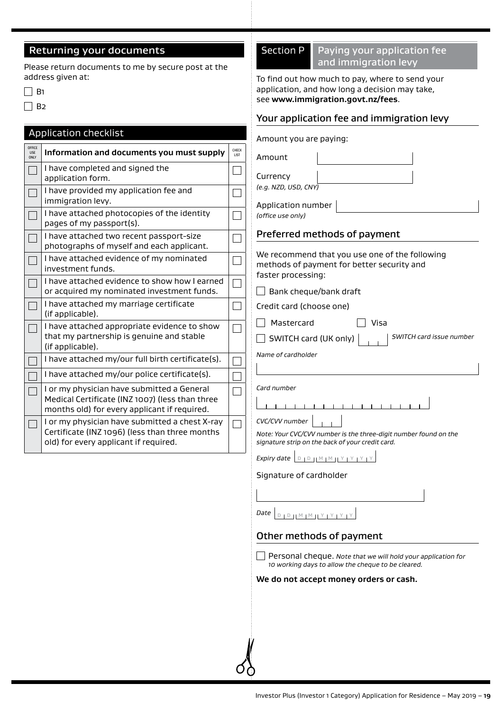## Returning your documents

Please return documents to me by secure post at the address given at:

 $\Box$  B<sub>2</sub>

## Application checklist

| OFFICE<br><b>USE</b><br><b>ONLY</b> | Information and documents you must supply                                                                                                     | CHECK<br>LIST |
|-------------------------------------|-----------------------------------------------------------------------------------------------------------------------------------------------|---------------|
|                                     | I have completed and signed the<br>application form.                                                                                          |               |
|                                     | I have provided my application fee and<br>immigration levy.                                                                                   |               |
|                                     | I have attached photocopies of the identity<br>pages of my passport(s).                                                                       |               |
|                                     | I have attached two recent passport-size<br>photographs of myself and each applicant.                                                         |               |
|                                     | I have attached evidence of my nominated<br>investment funds.                                                                                 |               |
|                                     | I have attached evidence to show how I earned<br>or acquired my nominated investment funds.                                                   |               |
|                                     | I have attached my marriage certificate<br>(if applicable).                                                                                   |               |
|                                     | I have attached appropriate evidence to show<br>that my partnership is genuine and stable<br>(if applicable).                                 |               |
|                                     | I have attached my/our full birth certificate(s).                                                                                             |               |
|                                     | I have attached my/our police certificate(s).                                                                                                 |               |
|                                     | I or my physician have submitted a General<br>Medical Certificate (INZ 1007) (less than three<br>months old) for every applicant if required. |               |
|                                     | I or my physician have submitted a chest X-ray<br>Certificate (INZ 1096) (less than three months<br>old) for every applicant if required.     |               |

## Section P | Paying your application fee and immigration levy

To find out how much to pay, where to send your application, and how long a decision may take, see **www.immigration.govt.nz/fees**.

## Your application fee and immigration levy

|               | roar application rec and miningration icvy                                                                                             |
|---------------|----------------------------------------------------------------------------------------------------------------------------------------|
|               | Amount you are paying:                                                                                                                 |
| CHECK<br>LIST | Amount                                                                                                                                 |
|               | Currency                                                                                                                               |
|               | (e.g. NZD, USD, CNY)                                                                                                                   |
|               | Application number<br>(office use only)                                                                                                |
|               | Preferred methods of payment                                                                                                           |
|               | We recommend that you use one of the following<br>methods of payment for better security and<br>faster processing:                     |
|               | Bank cheque/bank draft                                                                                                                 |
|               | Credit card (choose one)                                                                                                               |
|               | Mastercard<br>Visa                                                                                                                     |
|               | SWITCH card issue number<br>SWITCH card (UK only)                                                                                      |
|               | Name of cardholder                                                                                                                     |
|               |                                                                                                                                        |
|               | Card number                                                                                                                            |
|               | $\mathbf{1}$ $\mathbf{1}$ $\mathbf{1}$                                                                                                 |
|               | CVC/CVV number<br>Note: Your CVC/CVV number is the three-digit number found on the<br>signature strip on the back of your credit card. |
|               | Expiry date <b>DPPMMMYYYYY</b>                                                                                                         |
|               | Signature of cardholder                                                                                                                |
|               |                                                                                                                                        |
|               | Date<br>D   D   M   M   Y   Y   Y   Y                                                                                                  |
|               | Other methods of payment                                                                                                               |
|               | Personal cheque. Note that we will hold your application for<br>10 working days to allow the cheque to be cleared.                     |
|               | We do not accept money orders or cash.                                                                                                 |
|               |                                                                                                                                        |
|               |                                                                                                                                        |
|               |                                                                                                                                        |